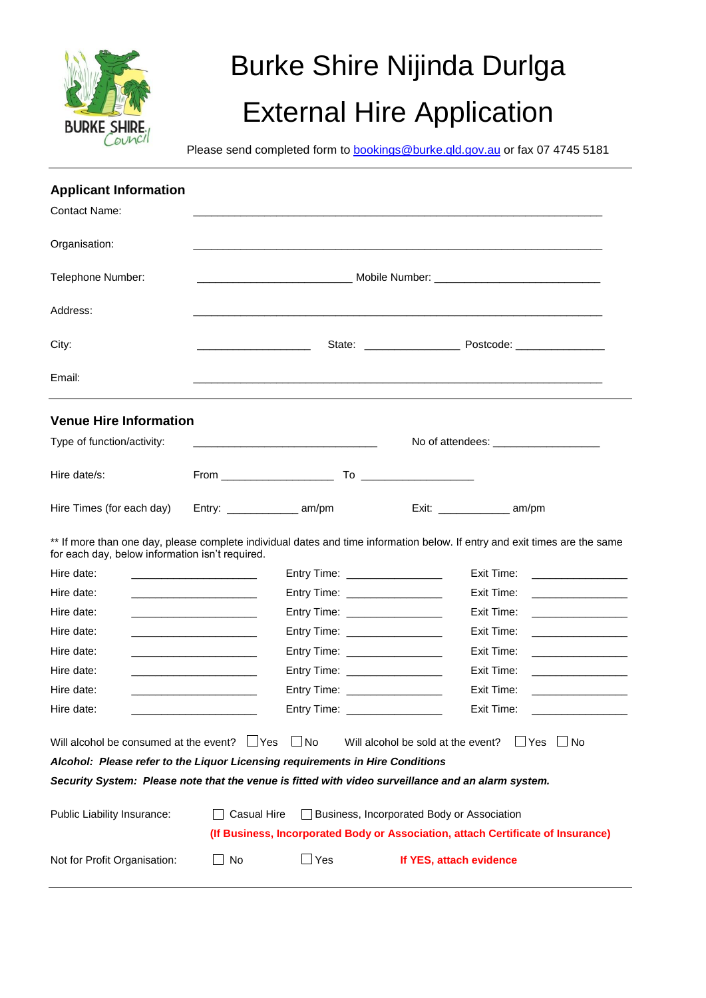

# Burke Shire Nijinda Durlga External Hire Application

Please send completed form to **bookings@burke.qld.gov.au** or fax 07 4745 5181

| <b>Applicant Information</b>                                                                                                       |                                                                                                                        |                                 |                                            |                                                                                                                                                                                                                                                    |
|------------------------------------------------------------------------------------------------------------------------------------|------------------------------------------------------------------------------------------------------------------------|---------------------------------|--------------------------------------------|----------------------------------------------------------------------------------------------------------------------------------------------------------------------------------------------------------------------------------------------------|
| <b>Contact Name:</b>                                                                                                               |                                                                                                                        |                                 |                                            |                                                                                                                                                                                                                                                    |
| Organisation:                                                                                                                      |                                                                                                                        |                                 |                                            |                                                                                                                                                                                                                                                    |
| Telephone Number:                                                                                                                  |                                                                                                                        |                                 |                                            |                                                                                                                                                                                                                                                    |
| Address:                                                                                                                           |                                                                                                                        |                                 |                                            |                                                                                                                                                                                                                                                    |
| City:                                                                                                                              |                                                                                                                        |                                 |                                            |                                                                                                                                                                                                                                                    |
| Email:                                                                                                                             |                                                                                                                        |                                 |                                            |                                                                                                                                                                                                                                                    |
| <b>Venue Hire Information</b>                                                                                                      |                                                                                                                        |                                 |                                            |                                                                                                                                                                                                                                                    |
| Type of function/activity:                                                                                                         |                                                                                                                        |                                 |                                            | No of attendees: _______________________                                                                                                                                                                                                           |
| Hire date/s:                                                                                                                       |                                                                                                                        |                                 |                                            |                                                                                                                                                                                                                                                    |
| Hire Times (for each day)                                                                                                          |                                                                                                                        |                                 |                                            |                                                                                                                                                                                                                                                    |
| for each day, below information isn't required.                                                                                    |                                                                                                                        |                                 |                                            | ** If more than one day, please complete individual dates and time information below. If entry and exit times are the same                                                                                                                         |
| Hire date:                                                                                                                         | <u> 1990 - Johann John Stone, markin film yn y sy'n yn y sy'n gweithiol yn y sy'n y sy'n gweithiol yn y sy'n gyn</u>   | Entry Time: _________________   |                                            | Exit Time:                                                                                                                                                                                                                                         |
| Hire date:                                                                                                                         | <u> 1989 - Johann John Harry Harry Harry Harry Harry Harry Harry Harry Harry Harry Harry Harry Harry Harry Harry H</u> | Entry Time: ___________________ |                                            | Exit Time:                                                                                                                                                                                                                                         |
| Hire date:                                                                                                                         | <u> La Carlo de la Carlo de la Carlo de la Carlo de la Carlo de la Carlo de la Carlo de la Carlo de la Carlo de l</u>  | Entry Time: __________________  |                                            | Exit Time:<br><u> Linda a shekara ta 1999 a shekara ta 1999 a shekara ta 1999 a shekara ta 1991 a shekara ta 1991 a shekara ta 1991 a shekara ta 1991 a shekara ta 1991 a shekara ta 1991 a shekara ta 1991 a shekara ta 1991 a shekara ta 199</u> |
| Hire date:                                                                                                                         | <u> 1980 - Johann Stein, mars an deus Amerikaansk kommunister (</u>                                                    | Entry Time: __________________  |                                            | Exit Time:<br>the control of the control of the                                                                                                                                                                                                    |
| Hire date:                                                                                                                         | <u> 1989 - Johann John Harry Hermann (f. 1989)</u>                                                                     | Entry Time: __________________  |                                            | Exit Time:<br><u> 1989 - Johann Harry Harry Harry Harry Harry Harry Harry Harry Harry Harry Harry Harry Harry Harry Harry Harry</u>                                                                                                                |
| Hire date:                                                                                                                         | <u> 1989 - Johann John Harry Harry Harry Harry Harry Harry Harry Harry Harry Harry Harry Harry Harry Harry Harry H</u> | Entry Time: _________________   |                                            | Exit Time:<br><u> 1989 - Johann Barn, fransk politik fotograf (</u>                                                                                                                                                                                |
| Hire date:                                                                                                                         |                                                                                                                        | Entry Time: __________________  |                                            | Exit Time:                                                                                                                                                                                                                                         |
| Hire date:                                                                                                                         |                                                                                                                        | Entry Time:                     |                                            | Exit Time:                                                                                                                                                                                                                                         |
| Will alcohol be consumed at the event? $\Box$ Yes<br>Alcohol: Please refer to the Liquor Licensing requirements in Hire Conditions |                                                                                                                        | $\Box$ No                       | Will alcohol be sold at the event?         | $\Box$ Yes<br>∃ No                                                                                                                                                                                                                                 |
| Security System: Please note that the venue is fitted with video surveillance and an alarm system.                                 |                                                                                                                        |                                 |                                            |                                                                                                                                                                                                                                                    |
| Public Liability Insurance:                                                                                                        | <b>Casual Hire</b>                                                                                                     |                                 | Business, Incorporated Body or Association |                                                                                                                                                                                                                                                    |
|                                                                                                                                    |                                                                                                                        |                                 |                                            | (If Business, Incorporated Body or Association, attach Certificate of Insurance)                                                                                                                                                                   |
|                                                                                                                                    |                                                                                                                        |                                 |                                            |                                                                                                                                                                                                                                                    |
| Not for Profit Organisation:                                                                                                       | No                                                                                                                     | $\Box$ Yes                      | If YES, attach evidence                    |                                                                                                                                                                                                                                                    |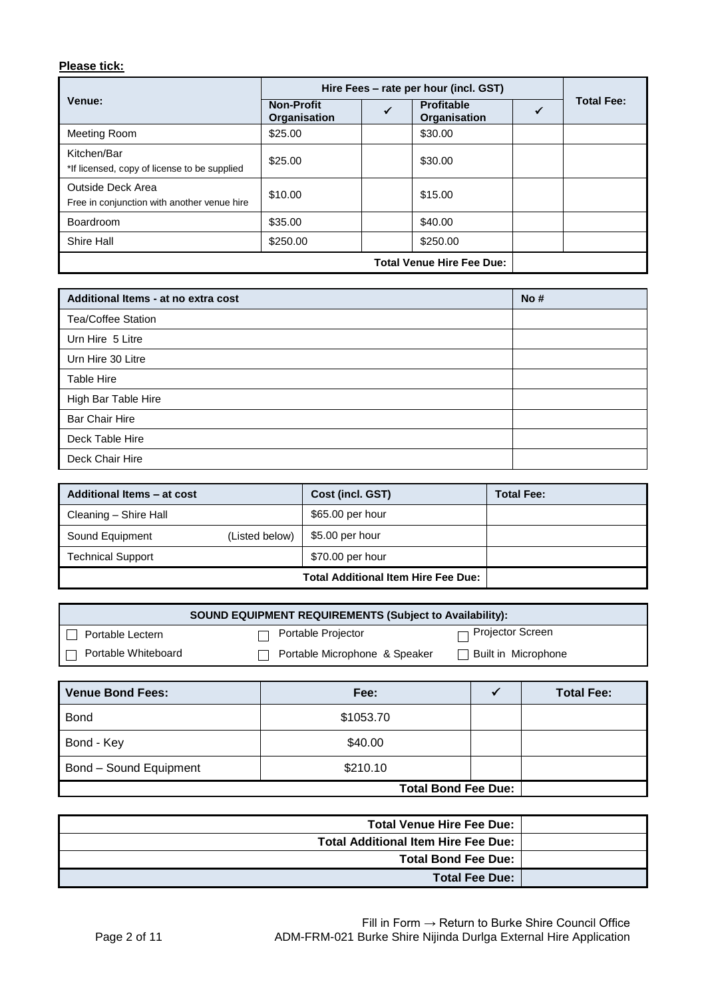# **Please tick:**

|                                                                  | Hire Fees – rate per hour (incl. GST)    |   |                                   |  |                   |
|------------------------------------------------------------------|------------------------------------------|---|-----------------------------------|--|-------------------|
| Venue:                                                           | <b>Non-Profit</b><br><b>Organisation</b> | √ | <b>Profitable</b><br>Organisation |  | <b>Total Fee:</b> |
| Meeting Room                                                     | \$25.00                                  |   | \$30.00                           |  |                   |
| Kitchen/Bar<br>*If licensed, copy of license to be supplied      | \$25.00                                  |   | \$30.00                           |  |                   |
| Outside Deck Area<br>Free in conjunction with another venue hire | \$10.00                                  |   | \$15.00                           |  |                   |
| Boardroom                                                        | \$35.00                                  |   | \$40.00                           |  |                   |
| Shire Hall                                                       | \$250.00                                 |   | \$250.00                          |  |                   |
|                                                                  |                                          |   | <b>Total Venue Hire Fee Due:</b>  |  |                   |

| Additional Items - at no extra cost | No# |
|-------------------------------------|-----|
| <b>Tea/Coffee Station</b>           |     |
| Urn Hire 5 Litre                    |     |
| Urn Hire 30 Litre                   |     |
| Table Hire                          |     |
| High Bar Table Hire                 |     |
| <b>Bar Chair Hire</b>               |     |
| Deck Table Hire                     |     |
| Deck Chair Hire                     |     |

| Additional Items - at cost |                | Cost (incl. GST)                           | <b>Total Fee:</b> |
|----------------------------|----------------|--------------------------------------------|-------------------|
| Cleaning - Shire Hall      |                | \$65.00 per hour                           |                   |
| Sound Equipment            | (Listed below) | \$5.00 per hour                            |                   |
| <b>Technical Support</b>   |                | \$70.00 per hour                           |                   |
|                            |                | <b>Total Additional Item Hire Fee Due:</b> |                   |

| <b>SOUND EQUIPMENT REQUIREMENTS (Subject to Availability):</b> |                               |                         |  |  |
|----------------------------------------------------------------|-------------------------------|-------------------------|--|--|
| Portable Lectern                                               | Portable Projector            | $\Box$ Projector Screen |  |  |
| Portable Whiteboard                                            | Portable Microphone & Speaker | Built in Microphone     |  |  |

| Venue Bond Fees:              | Fee:                       | <b>Total Fee:</b> |
|-------------------------------|----------------------------|-------------------|
| <b>Bond</b>                   | \$1053.70                  |                   |
| Bond - Key                    | \$40.00                    |                   |
| <b>Bond - Sound Equipment</b> | \$210.10                   |                   |
|                               | <b>Total Bond Fee Due:</b> |                   |

| <b>Total Venue Hire Fee Due:</b>           |
|--------------------------------------------|
| <b>Total Additional Item Hire Fee Due:</b> |
| <b>Total Bond Fee Due:</b>                 |
| <b>Total Fee Due:</b>                      |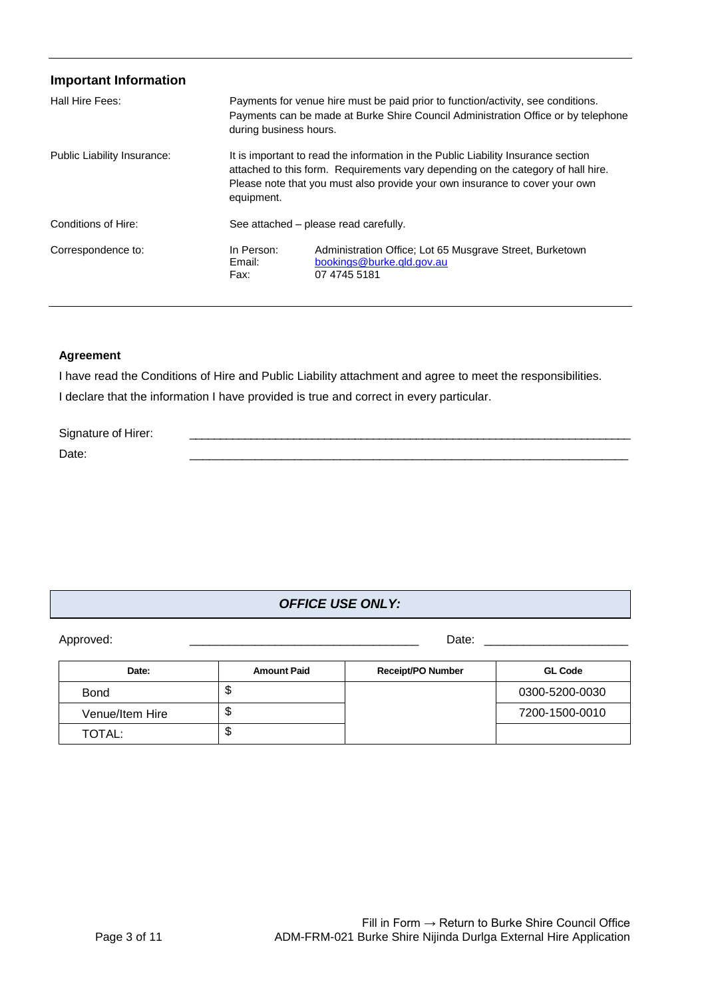| <b>Important Information</b> |                              |                                                                                                                                                                                                                                                      |
|------------------------------|------------------------------|------------------------------------------------------------------------------------------------------------------------------------------------------------------------------------------------------------------------------------------------------|
| Hall Hire Fees:              | during business hours.       | Payments for venue hire must be paid prior to function/activity, see conditions.<br>Payments can be made at Burke Shire Council Administration Office or by telephone                                                                                |
| Public Liability Insurance:  | equipment.                   | It is important to read the information in the Public Liability Insurance section<br>attached to this form. Requirements vary depending on the category of hall hire.<br>Please note that you must also provide your own insurance to cover your own |
| Conditions of Hire:          |                              | See attached – please read carefully.                                                                                                                                                                                                                |
| Correspondence to:           | In Person:<br>Email:<br>Fax: | Administration Office: Lot 65 Musgrave Street, Burketown<br>bookings@burke.qld.gov.au<br>07 4745 5181                                                                                                                                                |

#### **Agreement**

I have read the Conditions of Hire and Public Liability attachment and agree to meet the responsibilities. I declare that the information I have provided is true and correct in every particular.

| Signature of Hirer: |  |
|---------------------|--|
| Date:               |  |

# *OFFICE USE ONLY:*

Approved: \_\_\_\_\_\_\_\_\_\_\_\_\_\_\_\_\_\_\_\_\_\_\_\_\_\_\_\_\_\_\_\_\_\_\_ Date: \_\_\_\_\_\_\_\_\_\_\_\_\_\_\_\_\_\_\_\_\_\_

| Date:           | <b>Amount Paid</b> | <b>Receipt/PO Number</b> | <b>GL Code</b> |
|-----------------|--------------------|--------------------------|----------------|
| <b>Bond</b>     | จ                  |                          | 0300-5200-0030 |
| Venue/Item Hire | œ<br>Φ             |                          | 7200-1500-0010 |
| TOTAL:          | æ<br>D             |                          |                |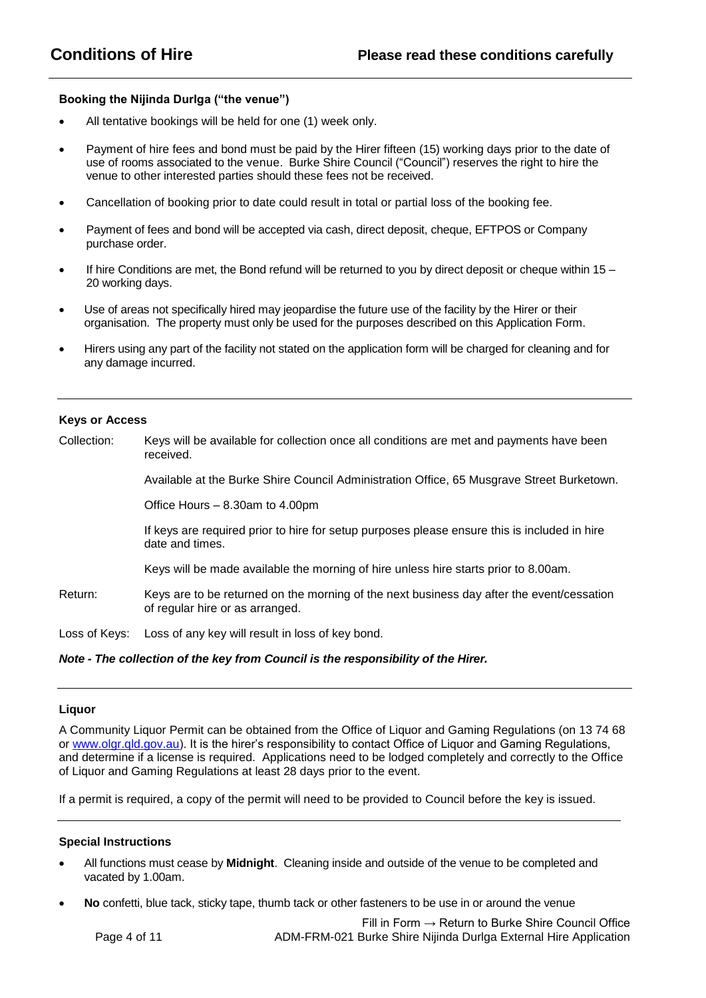#### **Booking the Nijinda Durlga ("the venue")**

- All tentative bookings will be held for one (1) week only.
- Payment of hire fees and bond must be paid by the Hirer fifteen (15) working days prior to the date of use of rooms associated to the venue. Burke Shire Council ("Council") reserves the right to hire the venue to other interested parties should these fees not be received.
- Cancellation of booking prior to date could result in total or partial loss of the booking fee.
- Payment of fees and bond will be accepted via cash, direct deposit, cheque, EFTPOS or Company purchase order.
- If hire Conditions are met, the Bond refund will be returned to you by direct deposit or cheque within 15 20 working days.
- Use of areas not specifically hired may jeopardise the future use of the facility by the Hirer or their organisation. The property must only be used for the purposes described on this Application Form.
- Hirers using any part of the facility not stated on the application form will be charged for cleaning and for any damage incurred.

#### **Keys or Access**

Collection: Keys will be available for collection once all conditions are met and payments have been received.

Available at the Burke Shire Council Administration Office, 65 Musgrave Street Burketown.

Office Hours – 8.30am to 4.00pm

If keys are required prior to hire for setup purposes please ensure this is included in hire date and times.

Keys will be made available the morning of hire unless hire starts prior to 8.00am.

Return: Keys are to be returned on the morning of the next business day after the event/cessation of regular hire or as arranged.

Loss of Keys: Loss of any key will result in loss of key bond.

#### *Note - The collection of the key from Council is the responsibility of the Hirer.*

#### **Liquor**

A Community Liquor Permit can be obtained from the Office of Liquor and Gaming Regulations (on 13 74 68 or [www.olgr.qld.gov.au\)](http://www.olgr.qld.gov.au/). It is the hirer's responsibility to contact Office of Liquor and Gaming Regulations, and determine if a license is required. Applications need to be lodged completely and correctly to the Office of Liquor and Gaming Regulations at least 28 days prior to the event.

If a permit is required, a copy of the permit will need to be provided to Council before the key is issued.

#### **Special Instructions**

- All functions must cease by **Midnight**. Cleaning inside and outside of the venue to be completed and vacated by 1.00am.
- **No** confetti, blue tack, sticky tape, thumb tack or other fasteners to be use in or around the venue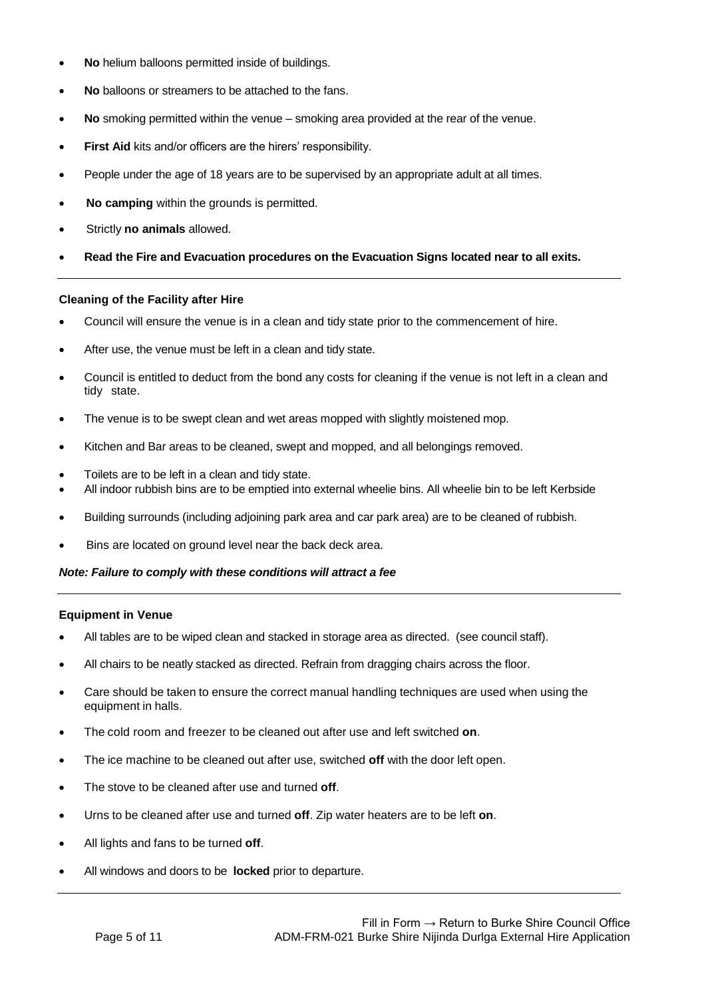- **No** helium balloons permitted inside of buildings.
- **No** balloons or streamers to be attached to the fans.
- **No** smoking permitted within the venue smoking area provided at the rear of the venue.
- First Aid kits and/or officers are the hirers' responsibility.
- People under the age of 18 years are to be supervised by an appropriate adult at all times.
- **No camping** within the grounds is permitted.
- Strictly **no animals** allowed.
- **Read the Fire and Evacuation procedures on the Evacuation Signs located near to all exits.**

#### **Cleaning of the Facility after Hire**

- Council will ensure the venue is in a clean and tidy state prior to the commencement of hire.
- After use, the venue must be left in a clean and tidy state.
- Council is entitled to deduct from the bond any costs for cleaning if the venue is not left in a clean and tidy state.
- The venue is to be swept clean and wet areas mopped with slightly moistened mop.
- Kitchen and Bar areas to be cleaned, swept and mopped, and all belongings removed.
- Toilets are to be left in a clean and tidy state.
- All indoor rubbish bins are to be emptied into external wheelie bins. All wheelie bin to be left Kerbside
- Building surrounds (including adjoining park area and car park area) are to be cleaned of rubbish.
- Bins are located on ground level near the back deck area.

#### *Note: Failure to comply with these conditions will attract a fee*

#### **Equipment in Venue**

- All tables are to be wiped clean and stacked in storage area as directed. (see council staff).
- All chairs to be neatly stacked as directed. Refrain from dragging chairs across the floor.
- Care should be taken to ensure the correct manual handling techniques are used when using the equipment in halls.
- The cold room and freezer to be cleaned out after use and left switched **on**.
- The ice machine to be cleaned out after use, switched **off** with the door left open.
- The stove to be cleaned after use and turned **off**.
- Urns to be cleaned after use and turned **off**. Zip water heaters are to be left **on**.
- All lights and fans to be turned **off**.
- All windows and doors to be **locked** prior to departure.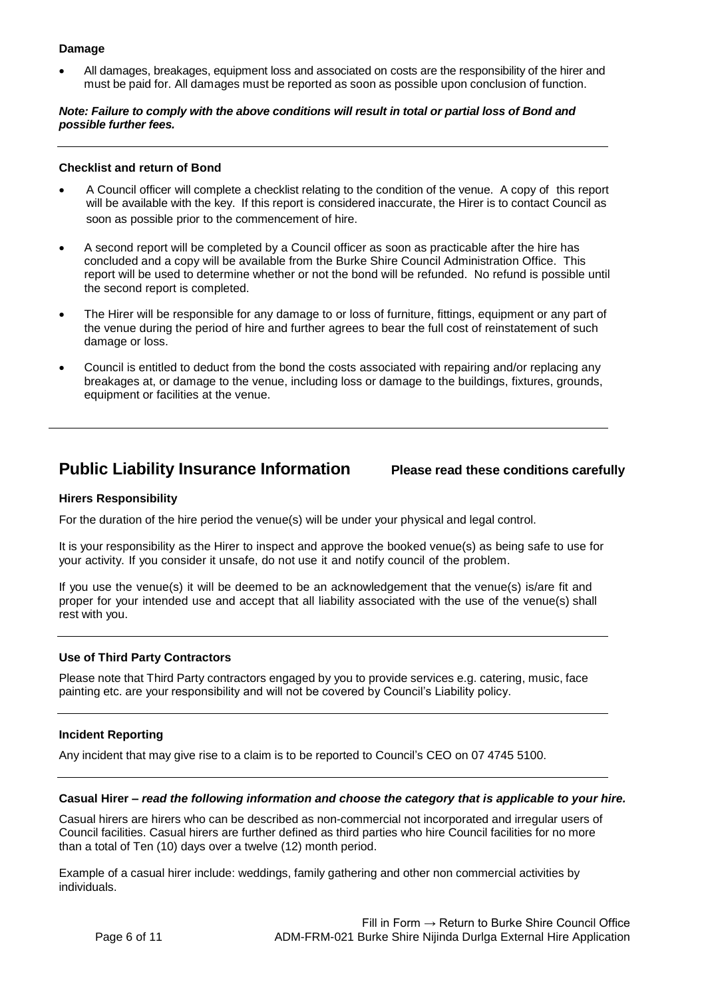#### **Damage**

 All damages, breakages, equipment loss and associated on costs are the responsibility of the hirer and must be paid for. All damages must be reported as soon as possible upon conclusion of function.

#### *Note: Failure to comply with the above conditions will result in total or partial loss of Bond and possible further fees.*

#### **Checklist and return of Bond**

- A Council officer will complete a checklist relating to the condition of the venue. A copy of this report will be available with the key. If this report is considered inaccurate, the Hirer is to contact Council as soon as possible prior to the commencement of hire.
- A second report will be completed by a Council officer as soon as practicable after the hire has concluded and a copy will be available from the Burke Shire Council Administration Office. This report will be used to determine whether or not the bond will be refunded. No refund is possible until the second report is completed.
- The Hirer will be responsible for any damage to or loss of furniture, fittings, equipment or any part of the venue during the period of hire and further agrees to bear the full cost of reinstatement of such damage or loss.
- Council is entitled to deduct from the bond the costs associated with repairing and/or replacing any breakages at, or damage to the venue, including loss or damage to the buildings, fixtures, grounds, equipment or facilities at the venue.

# **Public Liability Insurance Information Please read these conditions carefully**

#### **Hirers Responsibility**

For the duration of the hire period the venue(s) will be under your physical and legal control.

It is your responsibility as the Hirer to inspect and approve the booked venue(s) as being safe to use for your activity. If you consider it unsafe, do not use it and notify council of the problem.

If you use the venue(s) it will be deemed to be an acknowledgement that the venue(s) is/are fit and proper for your intended use and accept that all liability associated with the use of the venue(s) shall rest with you.

### **Use of Third Party Contractors**

Please note that Third Party contractors engaged by you to provide services e.g. catering, music, face painting etc. are your responsibility and will not be covered by Council's Liability policy.

#### **Incident Reporting**

Any incident that may give rise to a claim is to be reported to Council's CEO on 07 4745 5100.

#### **Casual Hirer –** *read the following information and choose the category that is applicable to your hire.*

Casual hirers are hirers who can be described as non-commercial not incorporated and irregular users of Council facilities. Casual hirers are further defined as third parties who hire Council facilities for no more than a total of Ten (10) days over a twelve (12) month period.

Example of a casual hirer include: weddings, family gathering and other non commercial activities by individuals.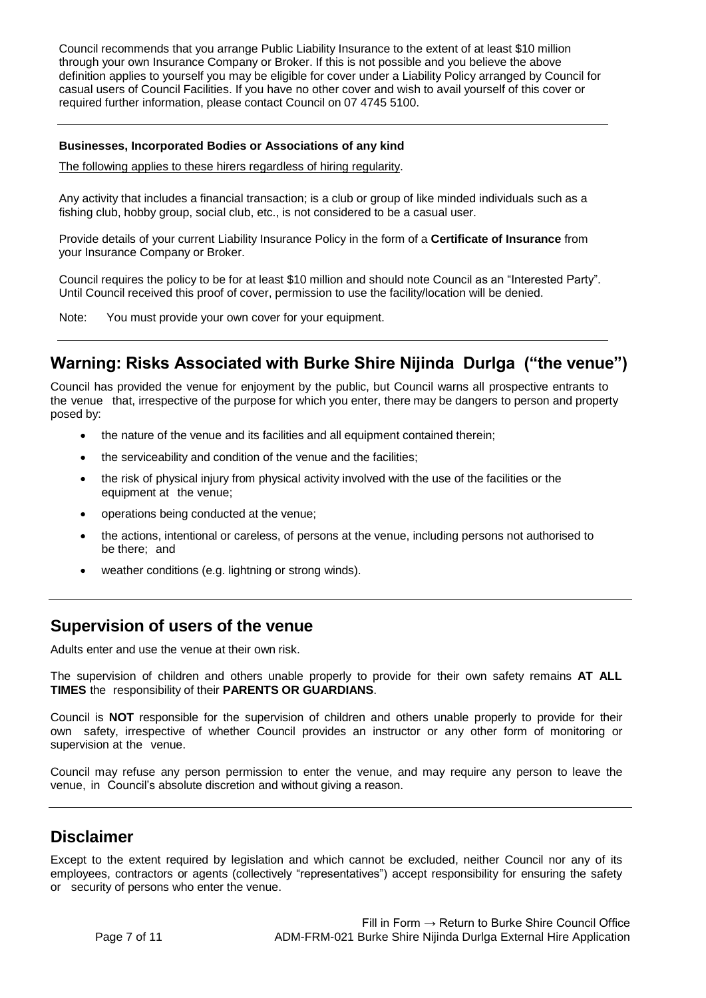Council recommends that you arrange Public Liability Insurance to the extent of at least \$10 million through your own Insurance Company or Broker. If this is not possible and you believe the above definition applies to yourself you may be eligible for cover under a Liability Policy arranged by Council for casual users of Council Facilities. If you have no other cover and wish to avail yourself of this cover or required further information, please contact Council on 07 4745 5100.

#### **Businesses, Incorporated Bodies or Associations of any kind**

The following applies to these hirers regardless of hiring regularity.

Any activity that includes a financial transaction; is a club or group of like minded individuals such as a fishing club, hobby group, social club, etc., is not considered to be a casual user.

Provide details of your current Liability Insurance Policy in the form of a **Certificate of Insurance** from your Insurance Company or Broker.

Council requires the policy to be for at least \$10 million and should note Council as an "Interested Party". Until Council received this proof of cover, permission to use the facility/location will be denied.

Note: You must provide your own cover for your equipment.

# **Warning: Risks Associated with Burke Shire Nijinda Durlga ("the venue")**

Council has provided the venue for enjoyment by the public, but Council warns all prospective entrants to the venue that, irrespective of the purpose for which you enter, there may be dangers to person and property posed by:

- the nature of the venue and its facilities and all equipment contained therein;
- the serviceability and condition of the venue and the facilities;
- the risk of physical injury from physical activity involved with the use of the facilities or the equipment at the venue;
- operations being conducted at the venue;
- the actions, intentional or careless, of persons at the venue, including persons not authorised to be there; and
- weather conditions (e.g. lightning or strong winds).

## **Supervision of users of the venue**

Adults enter and use the venue at their own risk.

The supervision of children and others unable properly to provide for their own safety remains **AT ALL TIMES** the responsibility of their **PARENTS OR GUARDIANS**.

Council is **NOT** responsible for the supervision of children and others unable properly to provide for their own safety, irrespective of whether Council provides an instructor or any other form of monitoring or supervision at the venue.

Council may refuse any person permission to enter the venue, and may require any person to leave the venue, in Council's absolute discretion and without giving a reason.

# **Disclaimer**

Except to the extent required by legislation and which cannot be excluded, neither Council nor any of its employees, contractors or agents (collectively "representatives") accept responsibility for ensuring the safety or security of persons who enter the venue.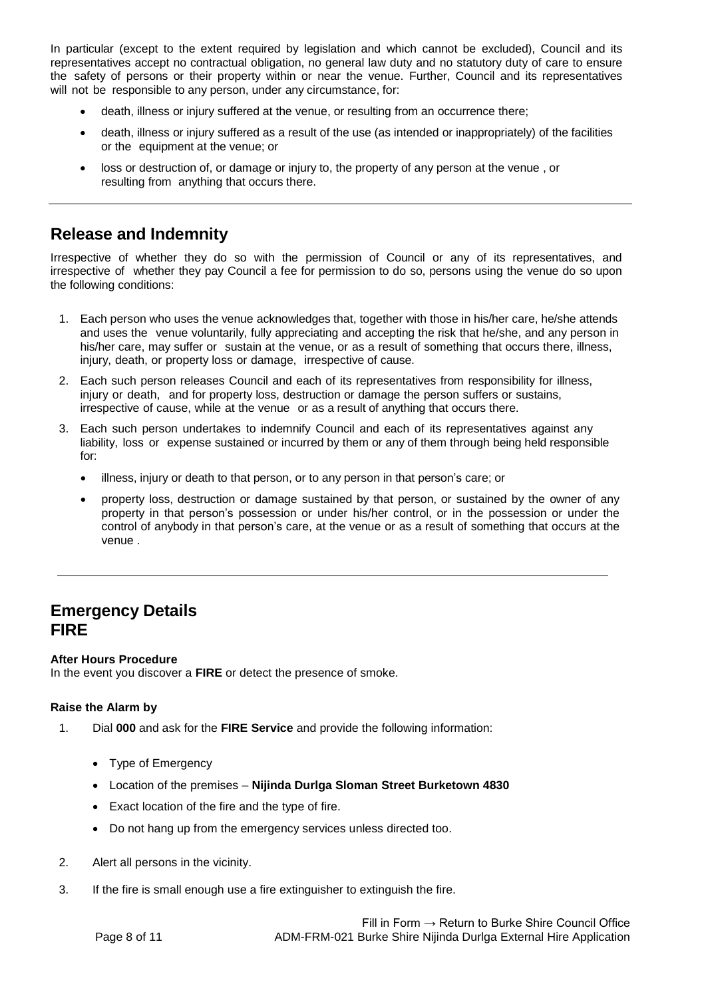In particular (except to the extent required by legislation and which cannot be excluded), Council and its representatives accept no contractual obligation, no general law duty and no statutory duty of care to ensure the safety of persons or their property within or near the venue. Further, Council and its representatives will not be responsible to any person, under any circumstance, for:

- death, illness or injury suffered at the venue, or resulting from an occurrence there;
- death, illness or injury suffered as a result of the use (as intended or inappropriately) of the facilities or the equipment at the venue; or
- loss or destruction of, or damage or injury to, the property of any person at the venue , or resulting from anything that occurs there.

# **Release and Indemnity**

Irrespective of whether they do so with the permission of Council or any of its representatives, and irrespective of whether they pay Council a fee for permission to do so, persons using the venue do so upon the following conditions:

- 1. Each person who uses the venue acknowledges that, together with those in his/her care, he/she attends and uses the venue voluntarily, fully appreciating and accepting the risk that he/she, and any person in his/her care, may suffer or sustain at the venue, or as a result of something that occurs there, illness, injury, death, or property loss or damage, irrespective of cause.
- 2. Each such person releases Council and each of its representatives from responsibility for illness, injury or death, and for property loss, destruction or damage the person suffers or sustains, irrespective of cause, while at the venue or as a result of anything that occurs there.
- 3. Each such person undertakes to indemnify Council and each of its representatives against any liability, loss or expense sustained or incurred by them or any of them through being held responsible for:
	- illness, injury or death to that person, or to any person in that person's care; or
	- property loss, destruction or damage sustained by that person, or sustained by the owner of any property in that person's possession or under his/her control, or in the possession or under the control of anybody in that person's care, at the venue or as a result of something that occurs at the venue .

# **Emergency Details FIRE**

### **After Hours Procedure**

In the event you discover a **FIRE** or detect the presence of smoke.

### **Raise the Alarm by**

- 1. Dial **000** and ask for the **FIRE Service** and provide the following information:
	- Type of Emergency
	- Location of the premises **Nijinda Durlga Sloman Street Burketown 4830**
	- Exact location of the fire and the type of fire.
	- Do not hang up from the emergency services unless directed too.
- 2. Alert all persons in the vicinity.
- 3. If the fire is small enough use a fire extinguisher to extinguish the fire.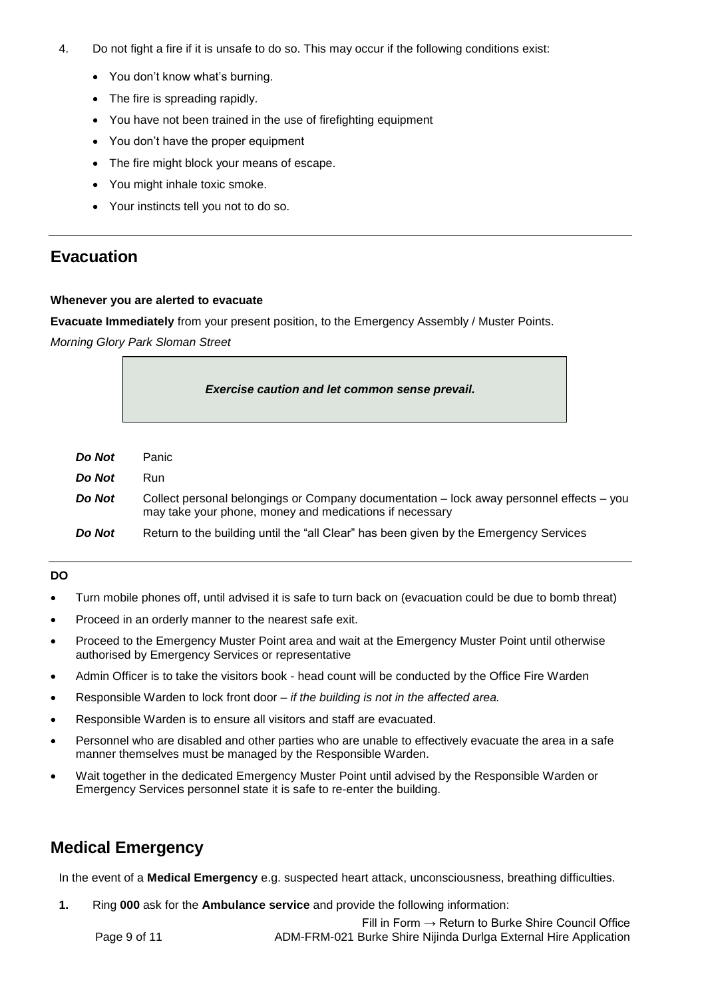- 4. Do not fight a fire if it is unsafe to do so. This may occur if the following conditions exist:
	- You don't know what's burning.
	- The fire is spreading rapidly.
	- You have not been trained in the use of firefighting equipment
	- You don't have the proper equipment
	- The fire might block your means of escape.
	- You might inhale toxic smoke.
	- Your instincts tell you not to do so.

# **Evacuation**

#### **Whenever you are alerted to evacuate**

**Evacuate Immediately** from your present position, to the Emergency Assembly / Muster Points.

*Morning Glory Park Sloman Street* 

|        | Exercise caution and let common sense prevail.                                           |
|--------|------------------------------------------------------------------------------------------|
| Do Not | Panic                                                                                    |
| Do Not | Run                                                                                      |
| Do Not | Collect personal belongings or Company documentation - lock away personnel effects - you |

may take your phone, money and medications if necessary

**Do Not** Return to the building until the "all Clear" has been given by the Emergency Services

### **DO**

*Do Not* Panic  $D<sub>O</sub>$ 

- Turn mobile phones off, until advised it is safe to turn back on (evacuation could be due to bomb threat)
- Proceed in an orderly manner to the nearest safe exit.
- Proceed to the Emergency Muster Point area and wait at the Emergency Muster Point until otherwise authorised by Emergency Services or representative
- Admin Officer is to take the visitors book head count will be conducted by the Office Fire Warden
- Responsible Warden to lock front door *if the building is not in the affected area.*
- Responsible Warden is to ensure all visitors and staff are evacuated.
- Personnel who are disabled and other parties who are unable to effectively evacuate the area in a safe manner themselves must be managed by the Responsible Warden.
- Wait together in the dedicated Emergency Muster Point until advised by the Responsible Warden or Emergency Services personnel state it is safe to re-enter the building.

# **Medical Emergency**

In the event of a **Medical Emergency** e.g. suspected heart attack, unconsciousness, breathing difficulties.

**1.** Ring **000** ask for the **Ambulance service** and provide the following information:

Fill in Form  $\rightarrow$  Return to Burke Shire Council Office Page 9 of 11 **ADM-FRM-021 Burke Shire Nijinda Durlga External Hire Application**